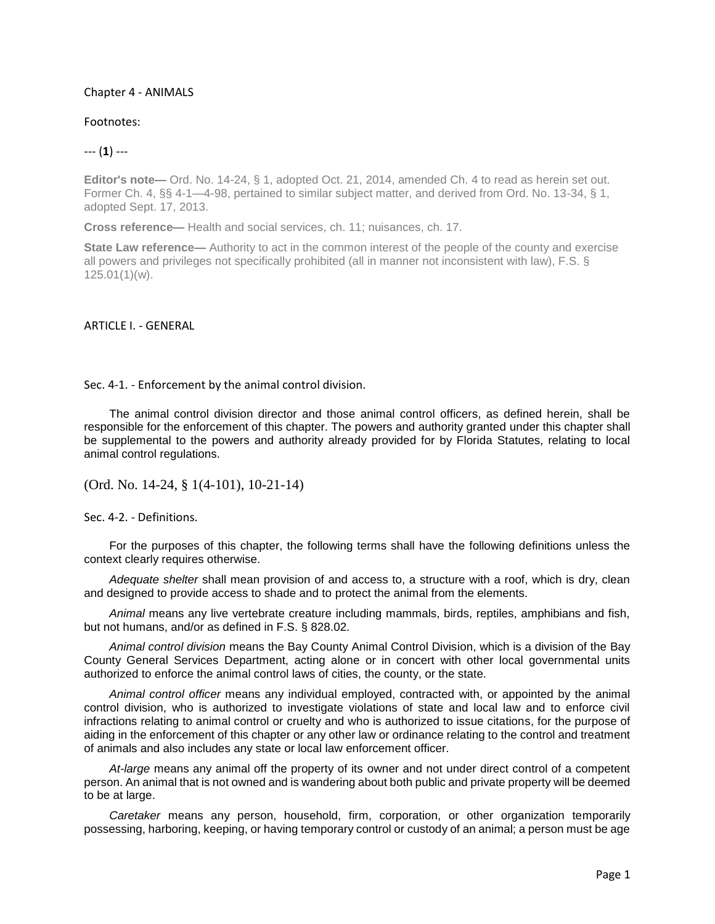## Chapter 4 - ANIMALS

## Footnotes:

## --- (**1**) ---

Editor's note— Ord. No. 14-24, § 1, adopted Oct. 21, 2014, amended Ch. 4 to read as herein set out. Former Ch. 4, §§ 4-1—4-98, pertained to similar subject matter, and derived from Ord. No. 13-34, § 1, adopted Sept. 17, 2013.

**Cross reference—** Health and social services, ch. 11; nuisances, ch. 17.

**State Law reference—** Authority to act in the common interest of the people of the county and exercise all powers and privileges not specifically prohibited (all in manner not inconsistent with law), F.S. § 125.01(1)(w).

ARTICLE I. - GENERAL

Sec. 4-1. - Enforcement by the animal control division.

The animal control division director and those animal control officers, as defined herein, shall be responsible for the enforcement of this chapter. The powers and authority granted under this chapter shall be supplemental to the powers and authority already provided for by Florida Statutes, relating to local animal control regulations.

(Ord. No. 14-24, § 1(4-101), 10-21-14)

Sec. 4-2. - Definitions.

For the purposes of this chapter, the following terms shall have the following definitions unless the context clearly requires otherwise.

*Adequate shelter* shall mean provision of and access to, a structure with a roof, which is dry, clean and designed to provide access to shade and to protect the animal from the elements.

*Animal* means any live vertebrate creature including mammals, birds, reptiles, amphibians and fish, but not humans, and/or as defined in F.S. § 828.02.

*Animal control division* means the Bay County Animal Control Division, which is a division of the Bay County General Services Department, acting alone or in concert with other local governmental units authorized to enforce the animal control laws of cities, the county, or the state.

*Animal control officer* means any individual employed, contracted with, or appointed by the animal control division, who is authorized to investigate violations of state and local law and to enforce civil infractions relating to animal control or cruelty and who is authorized to issue citations, for the purpose of aiding in the enforcement of this chapter or any other law or ordinance relating to the control and treatment of animals and also includes any state or local law enforcement officer.

*At-large* means any animal off the property of its owner and not under direct control of a competent person. An animal that is not owned and is wandering about both public and private property will be deemed to be at large.

*Caretaker* means any person, household, firm, corporation, or other organization temporarily possessing, harboring, keeping, or having temporary control or custody of an animal; a person must be age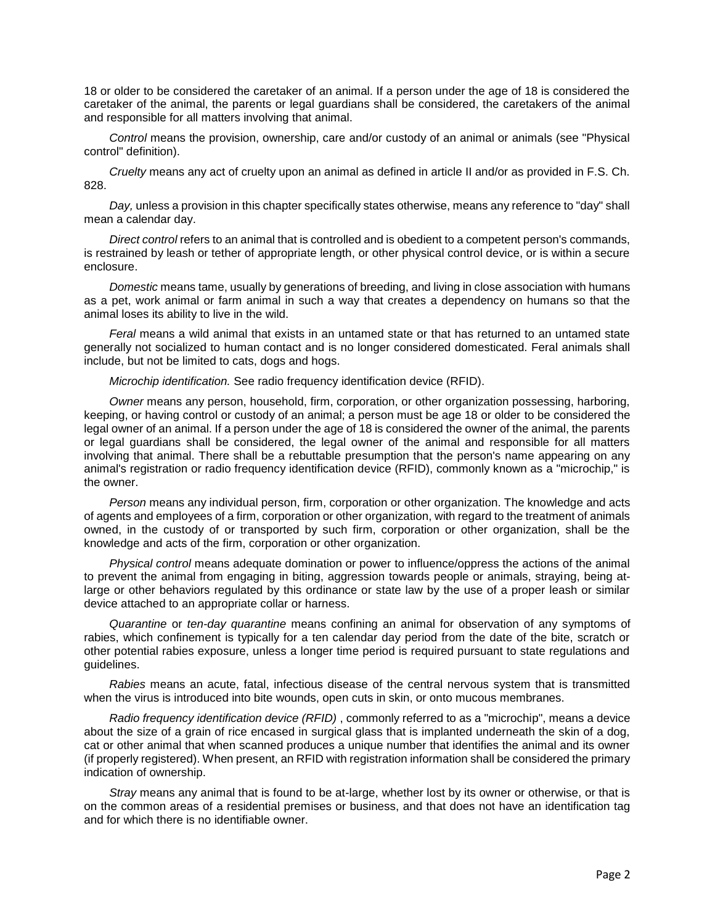18 or older to be considered the caretaker of an animal. If a person under the age of 18 is considered the caretaker of the animal, the parents or legal guardians shall be considered, the caretakers of the animal and responsible for all matters involving that animal.

*Control* means the provision, ownership, care and/or custody of an animal or animals (see "Physical control" definition).

*Cruelty* means any act of cruelty upon an animal as defined in article II and/or as provided in F.S. Ch. 828.

*Day,* unless a provision in this chapter specifically states otherwise, means any reference to "day" shall mean a calendar day.

*Direct control* refers to an animal that is controlled and is obedient to a competent person's commands, is restrained by leash or tether of appropriate length, or other physical control device, or is within a secure enclosure.

*Domestic* means tame, usually by generations of breeding, and living in close association with humans as a pet, work animal or farm animal in such a way that creates a dependency on humans so that the animal loses its ability to live in the wild.

*Feral* means a wild animal that exists in an untamed state or that has returned to an untamed state generally not socialized to human contact and is no longer considered domesticated. Feral animals shall include, but not be limited to cats, dogs and hogs.

*Microchip identification.* See radio frequency identification device (RFID).

*Owner* means any person, household, firm, corporation, or other organization possessing, harboring, keeping, or having control or custody of an animal; a person must be age 18 or older to be considered the legal owner of an animal. If a person under the age of 18 is considered the owner of the animal, the parents or legal guardians shall be considered, the legal owner of the animal and responsible for all matters involving that animal. There shall be a rebuttable presumption that the person's name appearing on any animal's registration or radio frequency identification device (RFID), commonly known as a "microchip," is the owner.

*Person* means any individual person, firm, corporation or other organization. The knowledge and acts of agents and employees of a firm, corporation or other organization, with regard to the treatment of animals owned, in the custody of or transported by such firm, corporation or other organization, shall be the knowledge and acts of the firm, corporation or other organization.

*Physical control* means adequate domination or power to influence/oppress the actions of the animal to prevent the animal from engaging in biting, aggression towards people or animals, straying, being atlarge or other behaviors regulated by this ordinance or state law by the use of a proper leash or similar device attached to an appropriate collar or harness.

*Quarantine* or *ten-day quarantine* means confining an animal for observation of any symptoms of rabies, which confinement is typically for a ten calendar day period from the date of the bite, scratch or other potential rabies exposure, unless a longer time period is required pursuant to state regulations and guidelines.

*Rabies* means an acute, fatal, infectious disease of the central nervous system that is transmitted when the virus is introduced into bite wounds, open cuts in skin, or onto mucous membranes.

*Radio frequency identification device (RFID)* , commonly referred to as a "microchip", means a device about the size of a grain of rice encased in surgical glass that is implanted underneath the skin of a dog, cat or other animal that when scanned produces a unique number that identifies the animal and its owner (if properly registered). When present, an RFID with registration information shall be considered the primary indication of ownership.

*Stray* means any animal that is found to be at-large, whether lost by its owner or otherwise, or that is on the common areas of a residential premises or business, and that does not have an identification tag and for which there is no identifiable owner.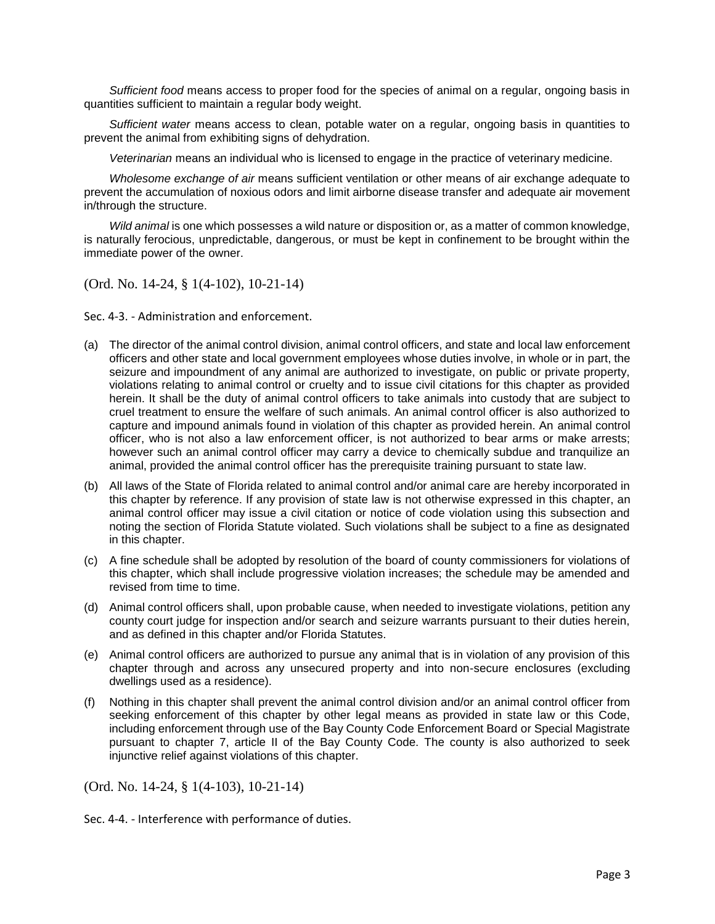*Sufficient food* means access to proper food for the species of animal on a regular, ongoing basis in quantities sufficient to maintain a regular body weight.

*Sufficient water* means access to clean, potable water on a regular, ongoing basis in quantities to prevent the animal from exhibiting signs of dehydration.

*Veterinarian* means an individual who is licensed to engage in the practice of veterinary medicine.

*Wholesome exchange of air* means sufficient ventilation or other means of air exchange adequate to prevent the accumulation of noxious odors and limit airborne disease transfer and adequate air movement in/through the structure.

*Wild animal* is one which possesses a wild nature or disposition or, as a matter of common knowledge, is naturally ferocious, unpredictable, dangerous, or must be kept in confinement to be brought within the immediate power of the owner.

(Ord. No. 14-24, § 1(4-102), 10-21-14)

Sec. 4-3. - Administration and enforcement.

- (a) The director of the animal control division, animal control officers, and state and local law enforcement officers and other state and local government employees whose duties involve, in whole or in part, the seizure and impoundment of any animal are authorized to investigate, on public or private property, violations relating to animal control or cruelty and to issue civil citations for this chapter as provided herein. It shall be the duty of animal control officers to take animals into custody that are subject to cruel treatment to ensure the welfare of such animals. An animal control officer is also authorized to capture and impound animals found in violation of this chapter as provided herein. An animal control officer, who is not also a law enforcement officer, is not authorized to bear arms or make arrests; however such an animal control officer may carry a device to chemically subdue and tranquilize an animal, provided the animal control officer has the prerequisite training pursuant to state law.
- (b) All laws of the State of Florida related to animal control and/or animal care are hereby incorporated in this chapter by reference. If any provision of state law is not otherwise expressed in this chapter, an animal control officer may issue a civil citation or notice of code violation using this subsection and noting the section of Florida Statute violated. Such violations shall be subject to a fine as designated in this chapter.
- (c) A fine schedule shall be adopted by resolution of the board of county commissioners for violations of this chapter, which shall include progressive violation increases; the schedule may be amended and revised from time to time.
- (d) Animal control officers shall, upon probable cause, when needed to investigate violations, petition any county court judge for inspection and/or search and seizure warrants pursuant to their duties herein, and as defined in this chapter and/or Florida Statutes.
- (e) Animal control officers are authorized to pursue any animal that is in violation of any provision of this chapter through and across any unsecured property and into non-secure enclosures (excluding dwellings used as a residence).
- (f) Nothing in this chapter shall prevent the animal control division and/or an animal control officer from seeking enforcement of this chapter by other legal means as provided in state law or this Code, including enforcement through use of the Bay County Code Enforcement Board or Special Magistrate pursuant to chapter 7, article II of the Bay County Code. The county is also authorized to seek injunctive relief against violations of this chapter.

(Ord. No. 14-24, § 1(4-103), 10-21-14)

Sec. 4-4. - Interference with performance of duties.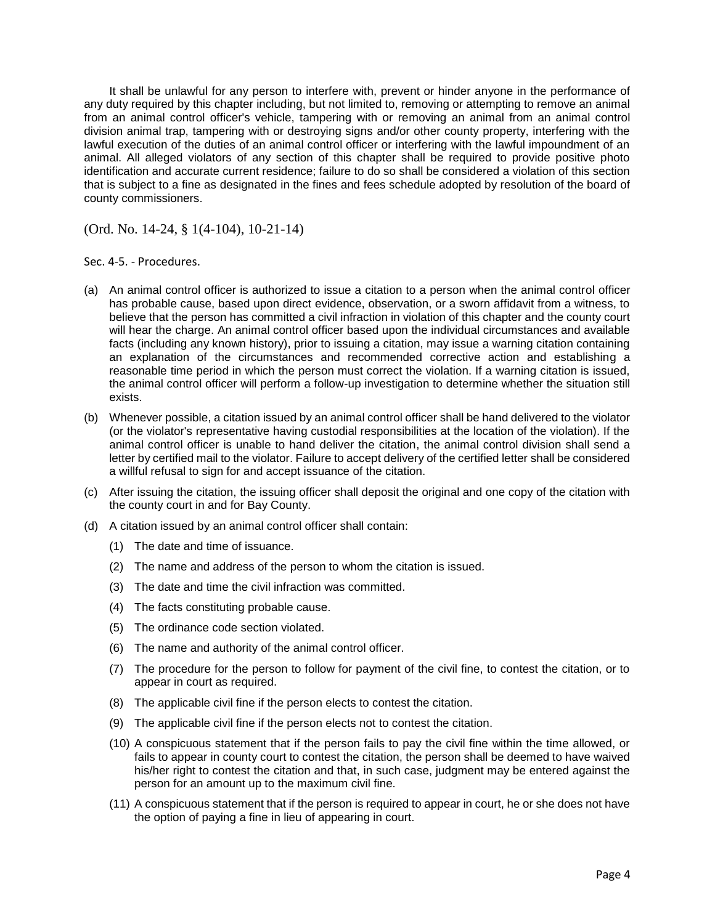It shall be unlawful for any person to interfere with, prevent or hinder anyone in the performance of any duty required by this chapter including, but not limited to, removing or attempting to remove an animal from an animal control officer's vehicle, tampering with or removing an animal from an animal control division animal trap, tampering with or destroying signs and/or other county property, interfering with the lawful execution of the duties of an animal control officer or interfering with the lawful impoundment of an animal. All alleged violators of any section of this chapter shall be required to provide positive photo identification and accurate current residence; failure to do so shall be considered a violation of this section that is subject to a fine as designated in the fines and fees schedule adopted by resolution of the board of county commissioners.

(Ord. No. 14-24, § 1(4-104), 10-21-14)

Sec. 4-5. - Procedures.

- (a) An animal control officer is authorized to issue a citation to a person when the animal control officer has probable cause, based upon direct evidence, observation, or a sworn affidavit from a witness, to believe that the person has committed a civil infraction in violation of this chapter and the county court will hear the charge. An animal control officer based upon the individual circumstances and available facts (including any known history), prior to issuing a citation, may issue a warning citation containing an explanation of the circumstances and recommended corrective action and establishing a reasonable time period in which the person must correct the violation. If a warning citation is issued, the animal control officer will perform a follow-up investigation to determine whether the situation still exists.
- (b) Whenever possible, a citation issued by an animal control officer shall be hand delivered to the violator (or the violator's representative having custodial responsibilities at the location of the violation). If the animal control officer is unable to hand deliver the citation, the animal control division shall send a letter by certified mail to the violator. Failure to accept delivery of the certified letter shall be considered a willful refusal to sign for and accept issuance of the citation.
- (c) After issuing the citation, the issuing officer shall deposit the original and one copy of the citation with the county court in and for Bay County.
- (d) A citation issued by an animal control officer shall contain:
	- (1) The date and time of issuance.
	- (2) The name and address of the person to whom the citation is issued.
	- (3) The date and time the civil infraction was committed.
	- (4) The facts constituting probable cause.
	- (5) The ordinance code section violated.
	- (6) The name and authority of the animal control officer.
	- (7) The procedure for the person to follow for payment of the civil fine, to contest the citation, or to appear in court as required.
	- (8) The applicable civil fine if the person elects to contest the citation.
	- (9) The applicable civil fine if the person elects not to contest the citation.
	- (10) A conspicuous statement that if the person fails to pay the civil fine within the time allowed, or fails to appear in county court to contest the citation, the person shall be deemed to have waived his/her right to contest the citation and that, in such case, judgment may be entered against the person for an amount up to the maximum civil fine.
	- (11) A conspicuous statement that if the person is required to appear in court, he or she does not have the option of paying a fine in lieu of appearing in court.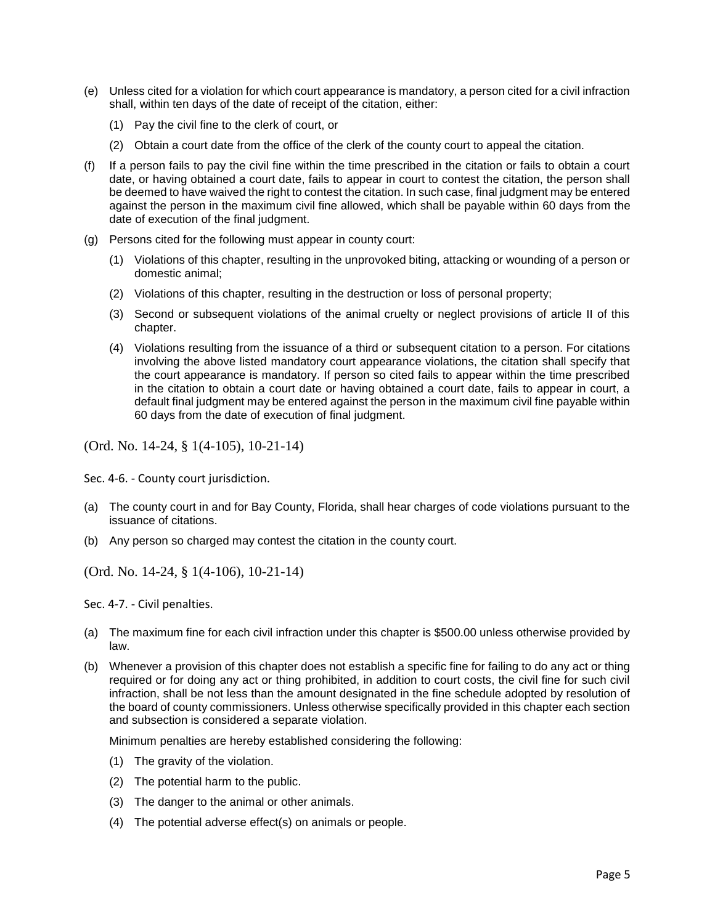- (e) Unless cited for a violation for which court appearance is mandatory, a person cited for a civil infraction shall, within ten days of the date of receipt of the citation, either:
	- (1) Pay the civil fine to the clerk of court, or
	- (2) Obtain a court date from the office of the clerk of the county court to appeal the citation.
- (f) If a person fails to pay the civil fine within the time prescribed in the citation or fails to obtain a court date, or having obtained a court date, fails to appear in court to contest the citation, the person shall be deemed to have waived the right to contest the citation. In such case, final judgment may be entered against the person in the maximum civil fine allowed, which shall be payable within 60 days from the date of execution of the final judgment.
- (g) Persons cited for the following must appear in county court:
	- (1) Violations of this chapter, resulting in the unprovoked biting, attacking or wounding of a person or domestic animal;
	- (2) Violations of this chapter, resulting in the destruction or loss of personal property;
	- (3) Second or subsequent violations of the animal cruelty or neglect provisions of article II of this chapter.
	- (4) Violations resulting from the issuance of a third or subsequent citation to a person. For citations involving the above listed mandatory court appearance violations, the citation shall specify that the court appearance is mandatory. If person so cited fails to appear within the time prescribed in the citation to obtain a court date or having obtained a court date, fails to appear in court, a default final judgment may be entered against the person in the maximum civil fine payable within 60 days from the date of execution of final judgment.

(Ord. No. 14-24, § 1(4-105), 10-21-14)

Sec. 4-6. - County court jurisdiction.

- (a) The county court in and for Bay County, Florida, shall hear charges of code violations pursuant to the issuance of citations.
- (b) Any person so charged may contest the citation in the county court.

(Ord. No. 14-24, § 1(4-106), 10-21-14)

Sec. 4-7. - Civil penalties.

- (a) The maximum fine for each civil infraction under this chapter is \$500.00 unless otherwise provided by law.
- (b) Whenever a provision of this chapter does not establish a specific fine for failing to do any act or thing required or for doing any act or thing prohibited, in addition to court costs, the civil fine for such civil infraction, shall be not less than the amount designated in the fine schedule adopted by resolution of the board of county commissioners. Unless otherwise specifically provided in this chapter each section and subsection is considered a separate violation.

Minimum penalties are hereby established considering the following:

- (1) The gravity of the violation.
- (2) The potential harm to the public.
- (3) The danger to the animal or other animals.
- (4) The potential adverse effect(s) on animals or people.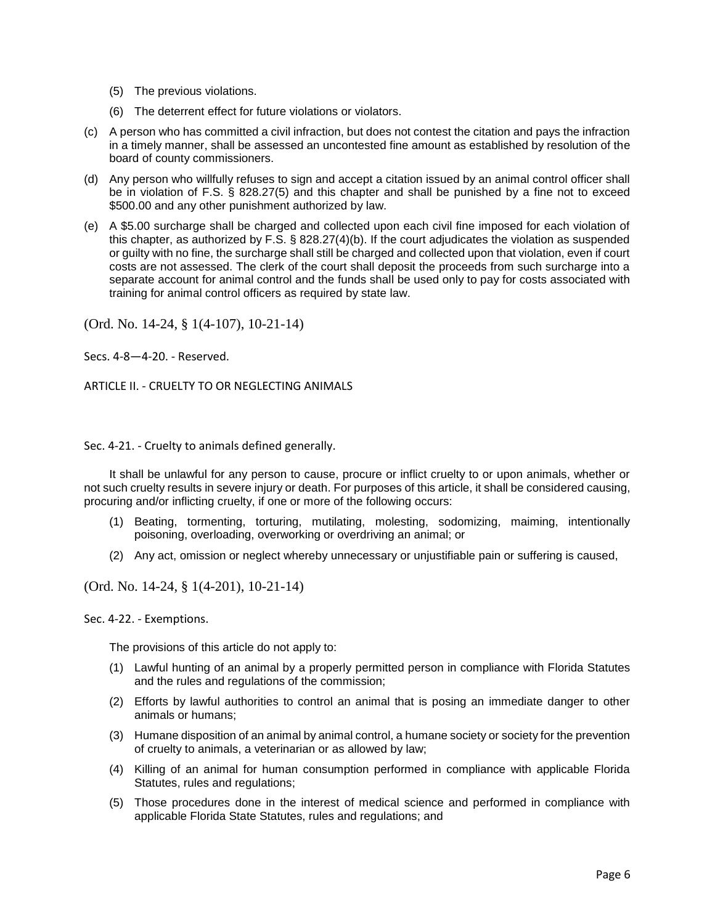- (5) The previous violations.
- (6) The deterrent effect for future violations or violators.
- (c) A person who has committed a civil infraction, but does not contest the citation and pays the infraction in a timely manner, shall be assessed an uncontested fine amount as established by resolution of the board of county commissioners.
- (d) Any person who willfully refuses to sign and accept a citation issued by an animal control officer shall be in violation of F.S. § 828.27(5) and this chapter and shall be punished by a fine not to exceed \$500.00 and any other punishment authorized by law.
- (e) A \$5.00 surcharge shall be charged and collected upon each civil fine imposed for each violation of this chapter, as authorized by F.S. § 828.27(4)(b). If the court adjudicates the violation as suspended or guilty with no fine, the surcharge shall still be charged and collected upon that violation, even if court costs are not assessed. The clerk of the court shall deposit the proceeds from such surcharge into a separate account for animal control and the funds shall be used only to pay for costs associated with training for animal control officers as required by state law.

(Ord. No. 14-24, § 1(4-107), 10-21-14)

Secs. 4-8—4-20. - Reserved.

ARTICLE II. - CRUELTY TO OR NEGLECTING ANIMALS

Sec. 4-21. - Cruelty to animals defined generally.

It shall be unlawful for any person to cause, procure or inflict cruelty to or upon animals, whether or not such cruelty results in severe injury or death. For purposes of this article, it shall be considered causing, procuring and/or inflicting cruelty, if one or more of the following occurs:

- (1) Beating, tormenting, torturing, mutilating, molesting, sodomizing, maiming, intentionally poisoning, overloading, overworking or overdriving an animal; or
- (2) Any act, omission or neglect whereby unnecessary or unjustifiable pain or suffering is caused,

(Ord. No. 14-24, § 1(4-201), 10-21-14)

Sec. 4-22. - Exemptions.

The provisions of this article do not apply to:

- (1) Lawful hunting of an animal by a properly permitted person in compliance with Florida Statutes and the rules and regulations of the commission;
- (2) Efforts by lawful authorities to control an animal that is posing an immediate danger to other animals or humans;
- (3) Humane disposition of an animal by animal control, a humane society or society for the prevention of cruelty to animals, a veterinarian or as allowed by law;
- (4) Killing of an animal for human consumption performed in compliance with applicable Florida Statutes, rules and regulations;
- (5) Those procedures done in the interest of medical science and performed in compliance with applicable Florida State Statutes, rules and regulations; and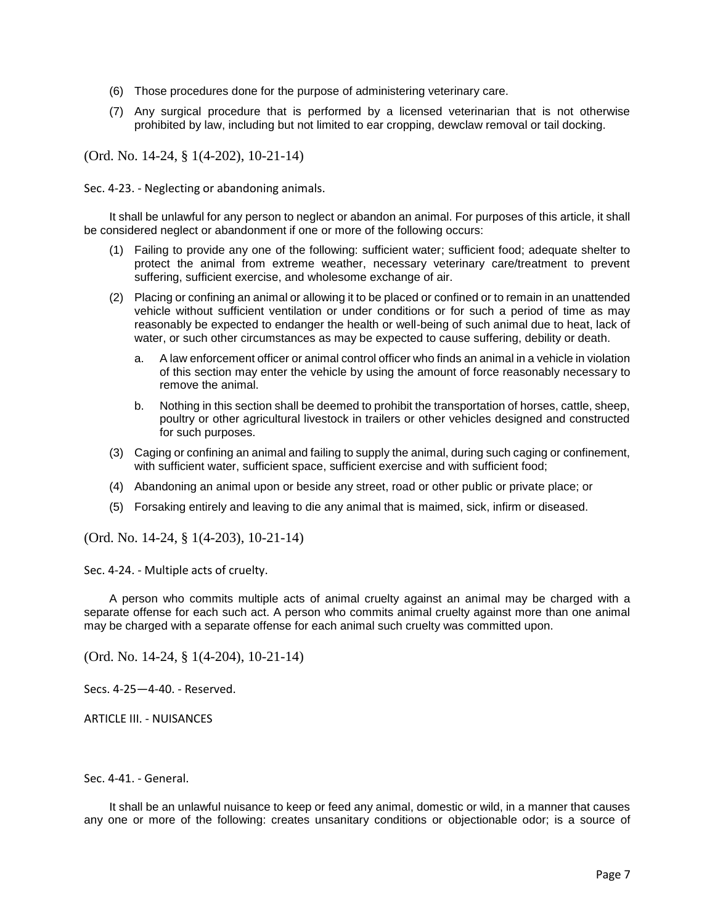- (6) Those procedures done for the purpose of administering veterinary care.
- (7) Any surgical procedure that is performed by a licensed veterinarian that is not otherwise prohibited by law, including but not limited to ear cropping, dewclaw removal or tail docking.

(Ord. No. 14-24, § 1(4-202), 10-21-14)

Sec. 4-23. - Neglecting or abandoning animals.

It shall be unlawful for any person to neglect or abandon an animal. For purposes of this article, it shall be considered neglect or abandonment if one or more of the following occurs:

- (1) Failing to provide any one of the following: sufficient water; sufficient food; adequate shelter to protect the animal from extreme weather, necessary veterinary care/treatment to prevent suffering, sufficient exercise, and wholesome exchange of air.
- (2) Placing or confining an animal or allowing it to be placed or confined or to remain in an unattended vehicle without sufficient ventilation or under conditions or for such a period of time as may reasonably be expected to endanger the health or well-being of such animal due to heat, lack of water, or such other circumstances as may be expected to cause suffering, debility or death.
	- a. A law enforcement officer or animal control officer who finds an animal in a vehicle in violation of this section may enter the vehicle by using the amount of force reasonably necessary to remove the animal.
	- b. Nothing in this section shall be deemed to prohibit the transportation of horses, cattle, sheep, poultry or other agricultural livestock in trailers or other vehicles designed and constructed for such purposes.
- (3) Caging or confining an animal and failing to supply the animal, during such caging or confinement, with sufficient water, sufficient space, sufficient exercise and with sufficient food;
- (4) Abandoning an animal upon or beside any street, road or other public or private place; or
- (5) Forsaking entirely and leaving to die any animal that is maimed, sick, infirm or diseased.

(Ord. No. 14-24, § 1(4-203), 10-21-14)

Sec. 4-24. - Multiple acts of cruelty.

A person who commits multiple acts of animal cruelty against an animal may be charged with a separate offense for each such act. A person who commits animal cruelty against more than one animal may be charged with a separate offense for each animal such cruelty was committed upon.

(Ord. No. 14-24, § 1(4-204), 10-21-14)

Secs. 4-25—4-40. - Reserved.

ARTICLE III. - NUISANCES

Sec. 4-41. - General.

It shall be an unlawful nuisance to keep or feed any animal, domestic or wild, in a manner that causes any one or more of the following: creates unsanitary conditions or objectionable odor; is a source of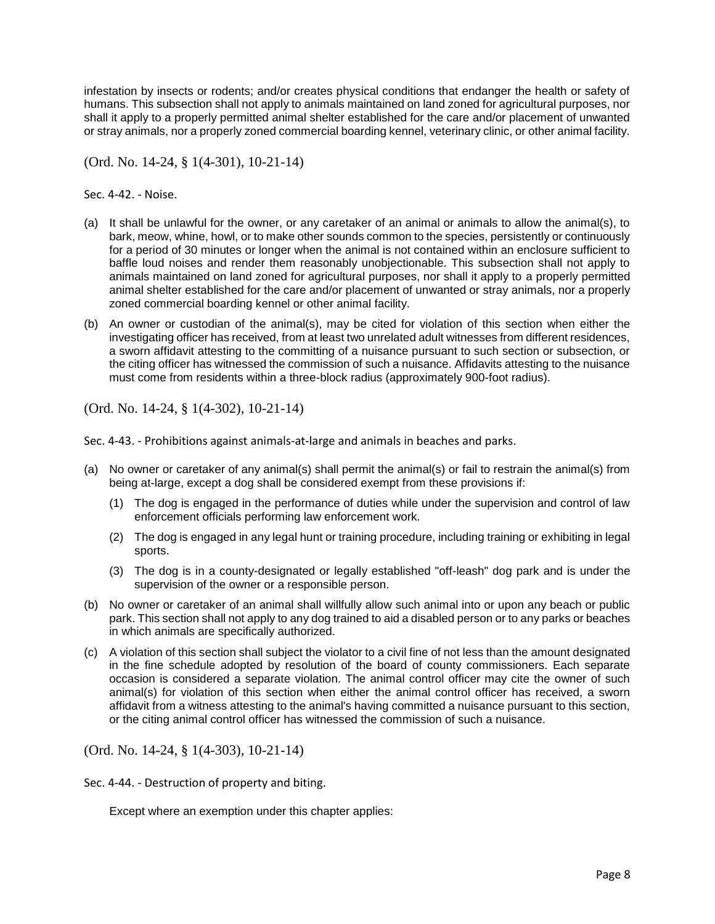infestation by insects or rodents; and/or creates physical conditions that endanger the health or safety of humans. This subsection shall not apply to animals maintained on land zoned for agricultural purposes, nor shall it apply to a properly permitted animal shelter established for the care and/or placement of unwanted or stray animals, nor a properly zoned commercial boarding kennel, veterinary clinic, or other animal facility.

(Ord. No. 14-24, § 1(4-301), 10-21-14)

Sec. 4-42. - Noise.

- (a) It shall be unlawful for the owner, or any caretaker of an animal or animals to allow the animal(s), to bark, meow, whine, howl, or to make other sounds common to the species, persistently or continuously for a period of 30 minutes or longer when the animal is not contained within an enclosure sufficient to baffle loud noises and render them reasonably unobjectionable. This subsection shall not apply to animals maintained on land zoned for agricultural purposes, nor shall it apply to a properly permitted animal shelter established for the care and/or placement of unwanted or stray animals, nor a properly zoned commercial boarding kennel or other animal facility.
- (b) An owner or custodian of the animal(s), may be cited for violation of this section when either the investigating officer has received, from at least two unrelated adult witnesses from different residences, a sworn affidavit attesting to the committing of a nuisance pursuant to such section or subsection, or the citing officer has witnessed the commission of such a nuisance. Affidavits attesting to the nuisance must come from residents within a three-block radius (approximately 900-foot radius).

(Ord. No. 14-24, § 1(4-302), 10-21-14)

Sec. 4-43. - Prohibitions against animals-at-large and animals in beaches and parks.

- (a) No owner or caretaker of any animal(s) shall permit the animal(s) or fail to restrain the animal(s) from being at-large, except a dog shall be considered exempt from these provisions if:
	- (1) The dog is engaged in the performance of duties while under the supervision and control of law enforcement officials performing law enforcement work.
	- (2) The dog is engaged in any legal hunt or training procedure, including training or exhibiting in legal sports.
	- (3) The dog is in a county-designated or legally established "off-leash" dog park and is under the supervision of the owner or a responsible person.
- (b) No owner or caretaker of an animal shall willfully allow such animal into or upon any beach or public park. This section shall not apply to any dog trained to aid a disabled person or to any parks or beaches in which animals are specifically authorized.
- (c) A violation of this section shall subject the violator to a civil fine of not less than the amount designated in the fine schedule adopted by resolution of the board of county commissioners. Each separate occasion is considered a separate violation. The animal control officer may cite the owner of such animal(s) for violation of this section when either the animal control officer has received, a sworn affidavit from a witness attesting to the animal's having committed a nuisance pursuant to this section, or the citing animal control officer has witnessed the commission of such a nuisance.

(Ord. No. 14-24, § 1(4-303), 10-21-14)

Sec. 4-44. - Destruction of property and biting.

Except where an exemption under this chapter applies: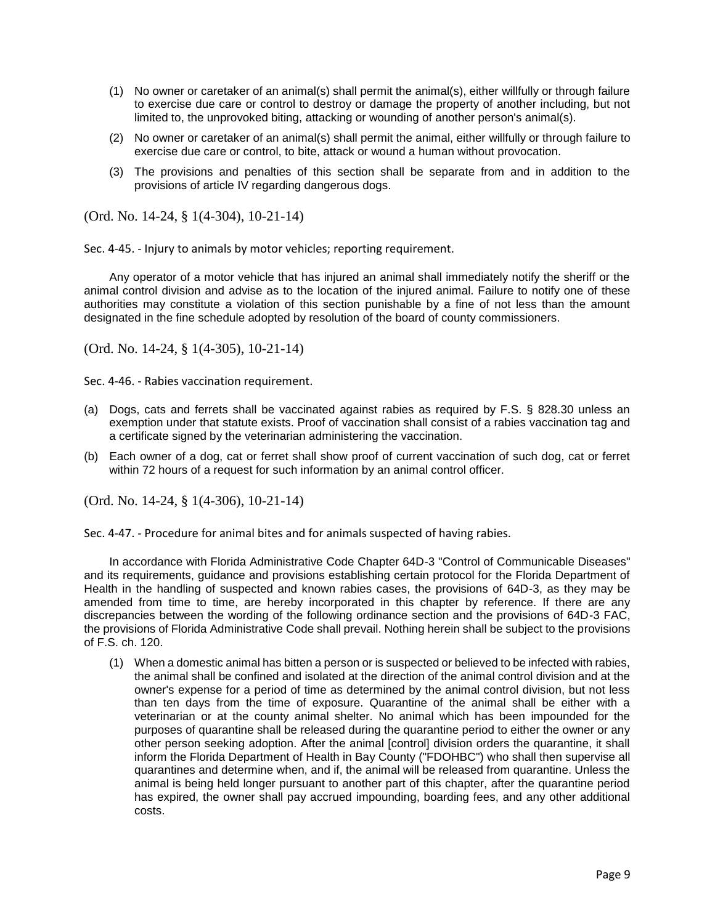- (1) No owner or caretaker of an animal(s) shall permit the animal(s), either willfully or through failure to exercise due care or control to destroy or damage the property of another including, but not limited to, the unprovoked biting, attacking or wounding of another person's animal(s).
- (2) No owner or caretaker of an animal(s) shall permit the animal, either willfully or through failure to exercise due care or control, to bite, attack or wound a human without provocation.
- (3) The provisions and penalties of this section shall be separate from and in addition to the provisions of article IV regarding dangerous dogs.

(Ord. No. 14-24, § 1(4-304), 10-21-14)

Sec. 4-45. - Injury to animals by motor vehicles; reporting requirement.

Any operator of a motor vehicle that has injured an animal shall immediately notify the sheriff or the animal control division and advise as to the location of the injured animal. Failure to notify one of these authorities may constitute a violation of this section punishable by a fine of not less than the amount designated in the fine schedule adopted by resolution of the board of county commissioners.

(Ord. No. 14-24, § 1(4-305), 10-21-14)

Sec. 4-46. - Rabies vaccination requirement.

- (a) Dogs, cats and ferrets shall be vaccinated against rabies as required by F.S. § 828.30 unless an exemption under that statute exists. Proof of vaccination shall consist of a rabies vaccination tag and a certificate signed by the veterinarian administering the vaccination.
- (b) Each owner of a dog, cat or ferret shall show proof of current vaccination of such dog, cat or ferret within 72 hours of a request for such information by an animal control officer.

(Ord. No. 14-24, § 1(4-306), 10-21-14)

Sec. 4-47. - Procedure for animal bites and for animals suspected of having rabies.

In accordance with Florida Administrative Code Chapter 64D-3 "Control of Communicable Diseases" and its requirements, guidance and provisions establishing certain protocol for the Florida Department of Health in the handling of suspected and known rabies cases, the provisions of 64D-3, as they may be amended from time to time, are hereby incorporated in this chapter by reference. If there are any discrepancies between the wording of the following ordinance section and the provisions of 64D-3 FAC, the provisions of Florida Administrative Code shall prevail. Nothing herein shall be subject to the provisions of F.S. ch. 120.

(1) When a domestic animal has bitten a person or is suspected or believed to be infected with rabies, the animal shall be confined and isolated at the direction of the animal control division and at the owner's expense for a period of time as determined by the animal control division, but not less than ten days from the time of exposure. Quarantine of the animal shall be either with a veterinarian or at the county animal shelter. No animal which has been impounded for the purposes of quarantine shall be released during the quarantine period to either the owner or any other person seeking adoption. After the animal [control] division orders the quarantine, it shall inform the Florida Department of Health in Bay County ("FDOHBC") who shall then supervise all quarantines and determine when, and if, the animal will be released from quarantine. Unless the animal is being held longer pursuant to another part of this chapter, after the quarantine period has expired, the owner shall pay accrued impounding, boarding fees, and any other additional costs.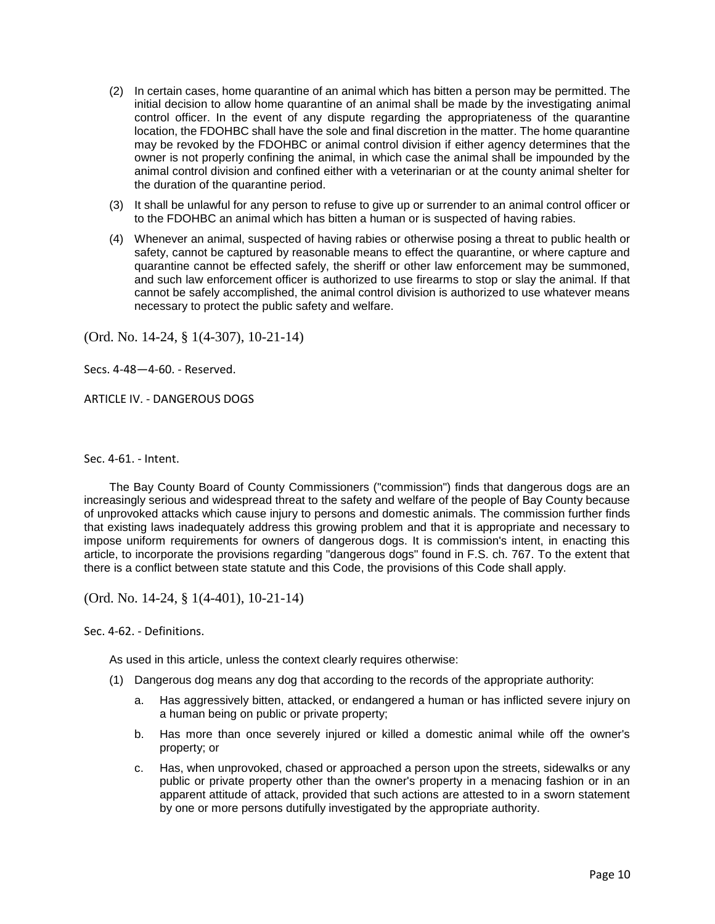- (2) In certain cases, home quarantine of an animal which has bitten a person may be permitted. The initial decision to allow home quarantine of an animal shall be made by the investigating animal control officer. In the event of any dispute regarding the appropriateness of the quarantine location, the FDOHBC shall have the sole and final discretion in the matter. The home quarantine may be revoked by the FDOHBC or animal control division if either agency determines that the owner is not properly confining the animal, in which case the animal shall be impounded by the animal control division and confined either with a veterinarian or at the county animal shelter for the duration of the quarantine period.
- (3) It shall be unlawful for any person to refuse to give up or surrender to an animal control officer or to the FDOHBC an animal which has bitten a human or is suspected of having rabies.
- (4) Whenever an animal, suspected of having rabies or otherwise posing a threat to public health or safety, cannot be captured by reasonable means to effect the quarantine, or where capture and quarantine cannot be effected safely, the sheriff or other law enforcement may be summoned, and such law enforcement officer is authorized to use firearms to stop or slay the animal. If that cannot be safely accomplished, the animal control division is authorized to use whatever means necessary to protect the public safety and welfare.

(Ord. No. 14-24, § 1(4-307), 10-21-14)

Secs. 4-48—4-60. - Reserved.

ARTICLE IV. - DANGEROUS DOGS

Sec. 4-61. - Intent.

The Bay County Board of County Commissioners ("commission") finds that dangerous dogs are an increasingly serious and widespread threat to the safety and welfare of the people of Bay County because of unprovoked attacks which cause injury to persons and domestic animals. The commission further finds that existing laws inadequately address this growing problem and that it is appropriate and necessary to impose uniform requirements for owners of dangerous dogs. It is commission's intent, in enacting this article, to incorporate the provisions regarding "dangerous dogs" found in F.S. ch. 767. To the extent that there is a conflict between state statute and this Code, the provisions of this Code shall apply.

(Ord. No. 14-24, § 1(4-401), 10-21-14)

Sec. 4-62. - Definitions.

As used in this article, unless the context clearly requires otherwise:

- (1) Dangerous dog means any dog that according to the records of the appropriate authority:
	- a. Has aggressively bitten, attacked, or endangered a human or has inflicted severe injury on a human being on public or private property;
	- b. Has more than once severely injured or killed a domestic animal while off the owner's property; or
	- c. Has, when unprovoked, chased or approached a person upon the streets, sidewalks or any public or private property other than the owner's property in a menacing fashion or in an apparent attitude of attack, provided that such actions are attested to in a sworn statement by one or more persons dutifully investigated by the appropriate authority.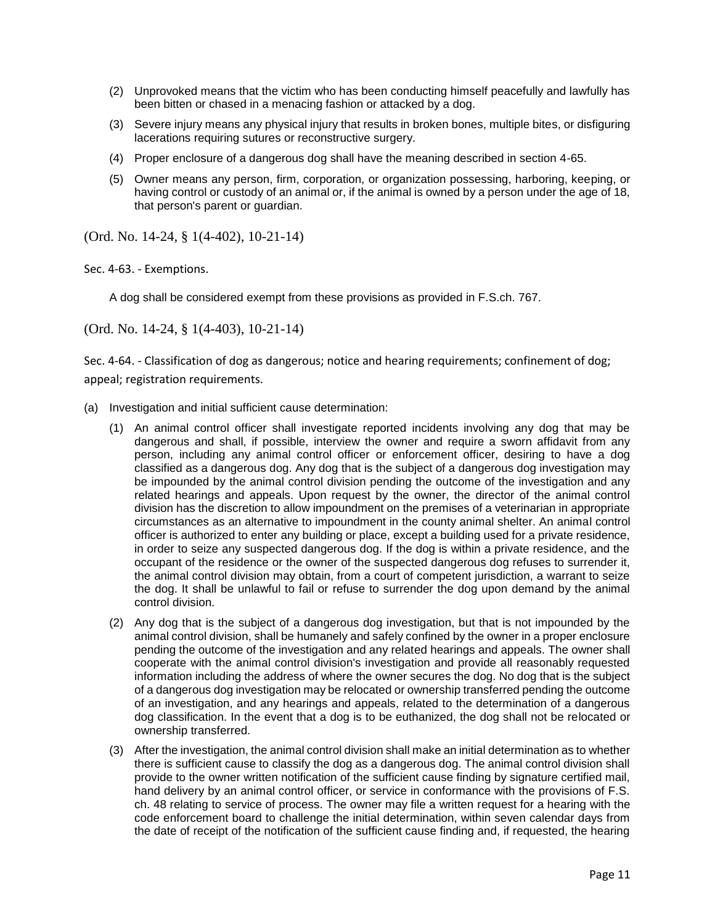- (2) Unprovoked means that the victim who has been conducting himself peacefully and lawfully has been bitten or chased in a menacing fashion or attacked by a dog.
- (3) Severe injury means any physical injury that results in broken bones, multiple bites, or disfiguring lacerations requiring sutures or reconstructive surgery.
- (4) Proper enclosure of a dangerous dog shall have the meaning described in section 4-65.
- (5) Owner means any person, firm, corporation, or organization possessing, harboring, keeping, or having control or custody of an animal or, if the animal is owned by a person under the age of 18, that person's parent or guardian.

(Ord. No. 14-24, § 1(4-402), 10-21-14)

Sec. 4-63. - Exemptions.

A dog shall be considered exempt from these provisions as provided in F.S.ch. 767.

(Ord. No. 14-24, § 1(4-403), 10-21-14)

Sec. 4-64. - Classification of dog as dangerous; notice and hearing requirements; confinement of dog; appeal; registration requirements.

- (a) Investigation and initial sufficient cause determination:
	- (1) An animal control officer shall investigate reported incidents involving any dog that may be dangerous and shall, if possible, interview the owner and require a sworn affidavit from any person, including any animal control officer or enforcement officer, desiring to have a dog classified as a dangerous dog. Any dog that is the subject of a dangerous dog investigation may be impounded by the animal control division pending the outcome of the investigation and any related hearings and appeals. Upon request by the owner, the director of the animal control division has the discretion to allow impoundment on the premises of a veterinarian in appropriate circumstances as an alternative to impoundment in the county animal shelter. An animal control officer is authorized to enter any building or place, except a building used for a private residence, in order to seize any suspected dangerous dog. If the dog is within a private residence, and the occupant of the residence or the owner of the suspected dangerous dog refuses to surrender it, the animal control division may obtain, from a court of competent jurisdiction, a warrant to seize the dog. It shall be unlawful to fail or refuse to surrender the dog upon demand by the animal control division.
	- (2) Any dog that is the subject of a dangerous dog investigation, but that is not impounded by the animal control division, shall be humanely and safely confined by the owner in a proper enclosure pending the outcome of the investigation and any related hearings and appeals. The owner shall cooperate with the animal control division's investigation and provide all reasonably requested information including the address of where the owner secures the dog. No dog that is the subject of a dangerous dog investigation may be relocated or ownership transferred pending the outcome of an investigation, and any hearings and appeals, related to the determination of a dangerous dog classification. In the event that a dog is to be euthanized, the dog shall not be relocated or ownership transferred.
	- (3) After the investigation, the animal control division shall make an initial determination as to whether there is sufficient cause to classify the dog as a dangerous dog. The animal control division shall provide to the owner written notification of the sufficient cause finding by signature certified mail, hand delivery by an animal control officer, or service in conformance with the provisions of F.S. ch. 48 relating to service of process. The owner may file a written request for a hearing with the code enforcement board to challenge the initial determination, within seven calendar days from the date of receipt of the notification of the sufficient cause finding and, if requested, the hearing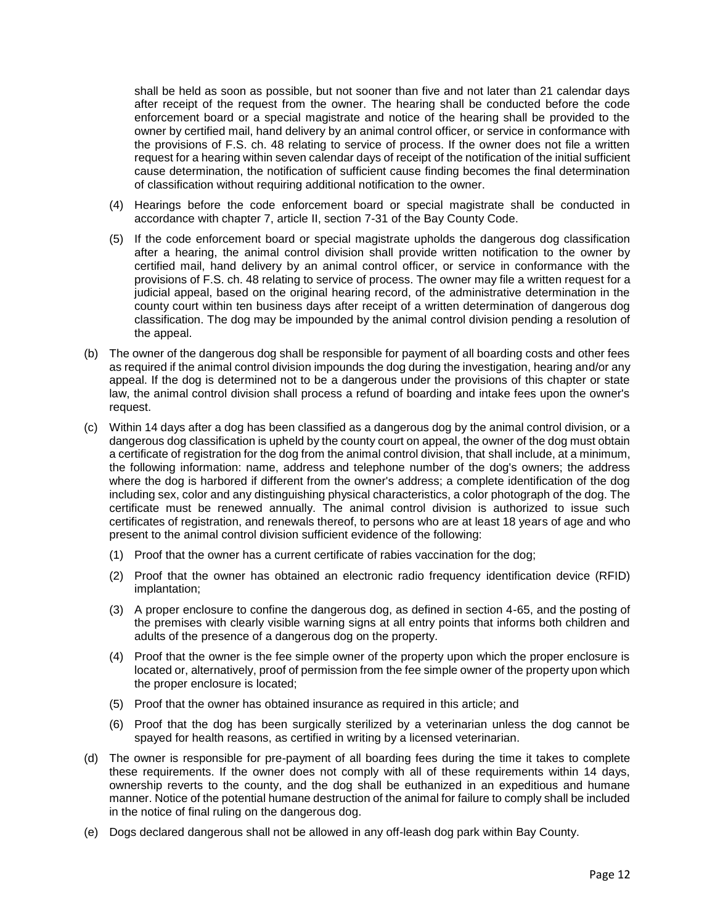shall be held as soon as possible, but not sooner than five and not later than 21 calendar days after receipt of the request from the owner. The hearing shall be conducted before the code enforcement board or a special magistrate and notice of the hearing shall be provided to the owner by certified mail, hand delivery by an animal control officer, or service in conformance with the provisions of F.S. ch. 48 relating to service of process. If the owner does not file a written request for a hearing within seven calendar days of receipt of the notification of the initial sufficient cause determination, the notification of sufficient cause finding becomes the final determination of classification without requiring additional notification to the owner.

- (4) Hearings before the code enforcement board or special magistrate shall be conducted in accordance with chapter 7, article II, section 7-31 of the Bay County Code.
- (5) If the code enforcement board or special magistrate upholds the dangerous dog classification after a hearing, the animal control division shall provide written notification to the owner by certified mail, hand delivery by an animal control officer, or service in conformance with the provisions of F.S. ch. 48 relating to service of process. The owner may file a written request for a judicial appeal, based on the original hearing record, of the administrative determination in the county court within ten business days after receipt of a written determination of dangerous dog classification. The dog may be impounded by the animal control division pending a resolution of the appeal.
- (b) The owner of the dangerous dog shall be responsible for payment of all boarding costs and other fees as required if the animal control division impounds the dog during the investigation, hearing and/or any appeal. If the dog is determined not to be a dangerous under the provisions of this chapter or state law, the animal control division shall process a refund of boarding and intake fees upon the owner's request.
- (c) Within 14 days after a dog has been classified as a dangerous dog by the animal control division, or a dangerous dog classification is upheld by the county court on appeal, the owner of the dog must obtain a certificate of registration for the dog from the animal control division, that shall include, at a minimum, the following information: name, address and telephone number of the dog's owners; the address where the dog is harbored if different from the owner's address; a complete identification of the dog including sex, color and any distinguishing physical characteristics, a color photograph of the dog. The certificate must be renewed annually. The animal control division is authorized to issue such certificates of registration, and renewals thereof, to persons who are at least 18 years of age and who present to the animal control division sufficient evidence of the following:
	- (1) Proof that the owner has a current certificate of rabies vaccination for the dog;
	- (2) Proof that the owner has obtained an electronic radio frequency identification device (RFID) implantation;
	- (3) A proper enclosure to confine the dangerous dog, as defined in section 4-65, and the posting of the premises with clearly visible warning signs at all entry points that informs both children and adults of the presence of a dangerous dog on the property.
	- (4) Proof that the owner is the fee simple owner of the property upon which the proper enclosure is located or, alternatively, proof of permission from the fee simple owner of the property upon which the proper enclosure is located;
	- (5) Proof that the owner has obtained insurance as required in this article; and
	- (6) Proof that the dog has been surgically sterilized by a veterinarian unless the dog cannot be spayed for health reasons, as certified in writing by a licensed veterinarian.
- (d) The owner is responsible for pre-payment of all boarding fees during the time it takes to complete these requirements. If the owner does not comply with all of these requirements within 14 days, ownership reverts to the county, and the dog shall be euthanized in an expeditious and humane manner. Notice of the potential humane destruction of the animal for failure to comply shall be included in the notice of final ruling on the dangerous dog.
- (e) Dogs declared dangerous shall not be allowed in any off-leash dog park within Bay County.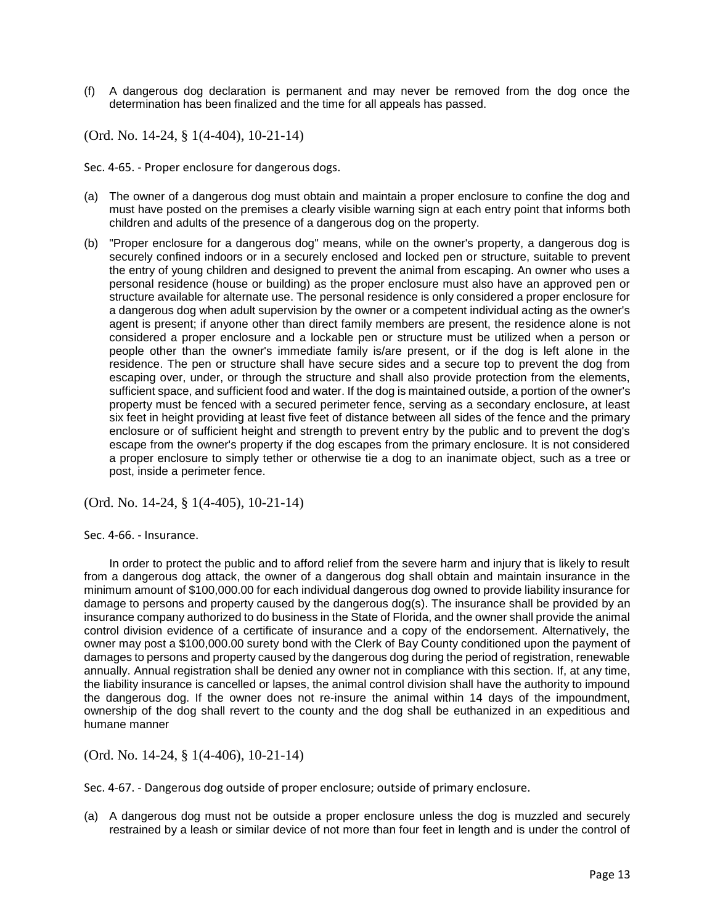(f) A dangerous dog declaration is permanent and may never be removed from the dog once the determination has been finalized and the time for all appeals has passed.

(Ord. No. 14-24, § 1(4-404), 10-21-14)

Sec. 4-65. - Proper enclosure for dangerous dogs.

- (a) The owner of a dangerous dog must obtain and maintain a proper enclosure to confine the dog and must have posted on the premises a clearly visible warning sign at each entry point that informs both children and adults of the presence of a dangerous dog on the property.
- (b) "Proper enclosure for a dangerous dog" means, while on the owner's property, a dangerous dog is securely confined indoors or in a securely enclosed and locked pen or structure, suitable to prevent the entry of young children and designed to prevent the animal from escaping. An owner who uses a personal residence (house or building) as the proper enclosure must also have an approved pen or structure available for alternate use. The personal residence is only considered a proper enclosure for a dangerous dog when adult supervision by the owner or a competent individual acting as the owner's agent is present; if anyone other than direct family members are present, the residence alone is not considered a proper enclosure and a lockable pen or structure must be utilized when a person or people other than the owner's immediate family is/are present, or if the dog is left alone in the residence. The pen or structure shall have secure sides and a secure top to prevent the dog from escaping over, under, or through the structure and shall also provide protection from the elements, sufficient space, and sufficient food and water. If the dog is maintained outside, a portion of the owner's property must be fenced with a secured perimeter fence, serving as a secondary enclosure, at least six feet in height providing at least five feet of distance between all sides of the fence and the primary enclosure or of sufficient height and strength to prevent entry by the public and to prevent the dog's escape from the owner's property if the dog escapes from the primary enclosure. It is not considered a proper enclosure to simply tether or otherwise tie a dog to an inanimate object, such as a tree or post, inside a perimeter fence.

(Ord. No. 14-24, § 1(4-405), 10-21-14)

Sec. 4-66. - Insurance.

In order to protect the public and to afford relief from the severe harm and injury that is likely to result from a dangerous dog attack, the owner of a dangerous dog shall obtain and maintain insurance in the minimum amount of \$100,000.00 for each individual dangerous dog owned to provide liability insurance for damage to persons and property caused by the dangerous dog(s). The insurance shall be provided by an insurance company authorized to do business in the State of Florida, and the owner shall provide the animal control division evidence of a certificate of insurance and a copy of the endorsement. Alternatively, the owner may post a \$100,000.00 surety bond with the Clerk of Bay County conditioned upon the payment of damages to persons and property caused by the dangerous dog during the period of registration, renewable annually. Annual registration shall be denied any owner not in compliance with this section. If, at any time, the liability insurance is cancelled or lapses, the animal control division shall have the authority to impound the dangerous dog. If the owner does not re-insure the animal within 14 days of the impoundment, ownership of the dog shall revert to the county and the dog shall be euthanized in an expeditious and humane manner

(Ord. No. 14-24, § 1(4-406), 10-21-14)

Sec. 4-67. - Dangerous dog outside of proper enclosure; outside of primary enclosure.

(a) A dangerous dog must not be outside a proper enclosure unless the dog is muzzled and securely restrained by a leash or similar device of not more than four feet in length and is under the control of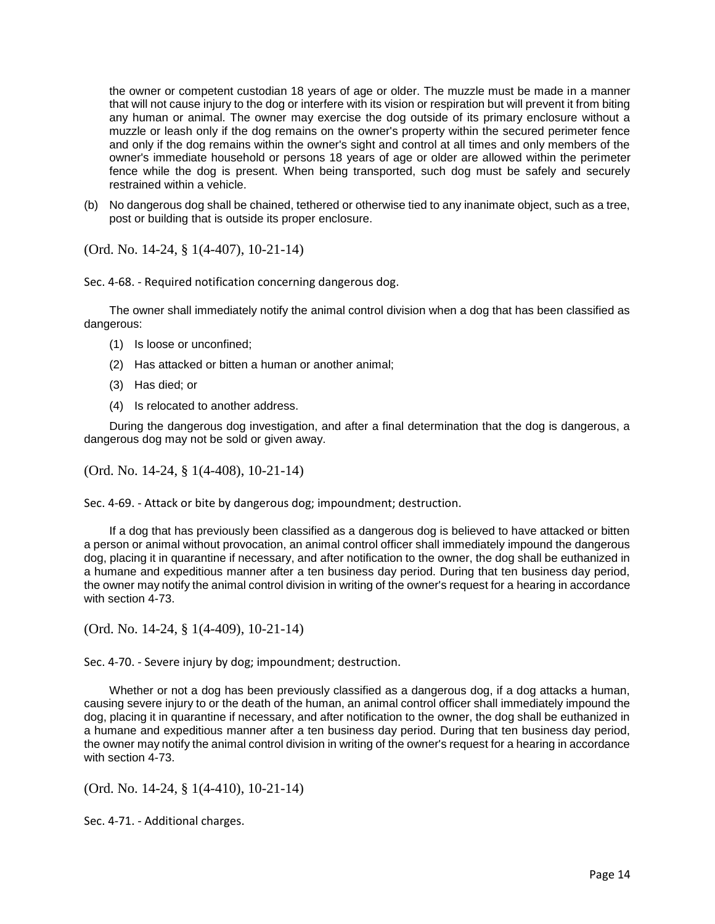the owner or competent custodian 18 years of age or older. The muzzle must be made in a manner that will not cause injury to the dog or interfere with its vision or respiration but will prevent it from biting any human or animal. The owner may exercise the dog outside of its primary enclosure without a muzzle or leash only if the dog remains on the owner's property within the secured perimeter fence and only if the dog remains within the owner's sight and control at all times and only members of the owner's immediate household or persons 18 years of age or older are allowed within the perimeter fence while the dog is present. When being transported, such dog must be safely and securely restrained within a vehicle.

(b) No dangerous dog shall be chained, tethered or otherwise tied to any inanimate object, such as a tree, post or building that is outside its proper enclosure.

(Ord. No. 14-24, § 1(4-407), 10-21-14)

Sec. 4-68. - Required notification concerning dangerous dog.

The owner shall immediately notify the animal control division when a dog that has been classified as dangerous:

- (1) Is loose or unconfined;
- (2) Has attacked or bitten a human or another animal;
- (3) Has died; or
- (4) Is relocated to another address.

During the dangerous dog investigation, and after a final determination that the dog is dangerous, a dangerous dog may not be sold or given away.

(Ord. No. 14-24, § 1(4-408), 10-21-14)

Sec. 4-69. - Attack or bite by dangerous dog; impoundment; destruction.

If a dog that has previously been classified as a dangerous dog is believed to have attacked or bitten a person or animal without provocation, an animal control officer shall immediately impound the dangerous dog, placing it in quarantine if necessary, and after notification to the owner, the dog shall be euthanized in a humane and expeditious manner after a ten business day period. During that ten business day period, the owner may notify the animal control division in writing of the owner's request for a hearing in accordance with section 4-73.

(Ord. No. 14-24, § 1(4-409), 10-21-14)

Sec. 4-70. - Severe injury by dog; impoundment; destruction.

Whether or not a dog has been previously classified as a dangerous dog, if a dog attacks a human, causing severe injury to or the death of the human, an animal control officer shall immediately impound the dog, placing it in quarantine if necessary, and after notification to the owner, the dog shall be euthanized in a humane and expeditious manner after a ten business day period. During that ten business day period, the owner may notify the animal control division in writing of the owner's request for a hearing in accordance with section 4-73.

(Ord. No. 14-24, § 1(4-410), 10-21-14)

Sec. 4-71. - Additional charges.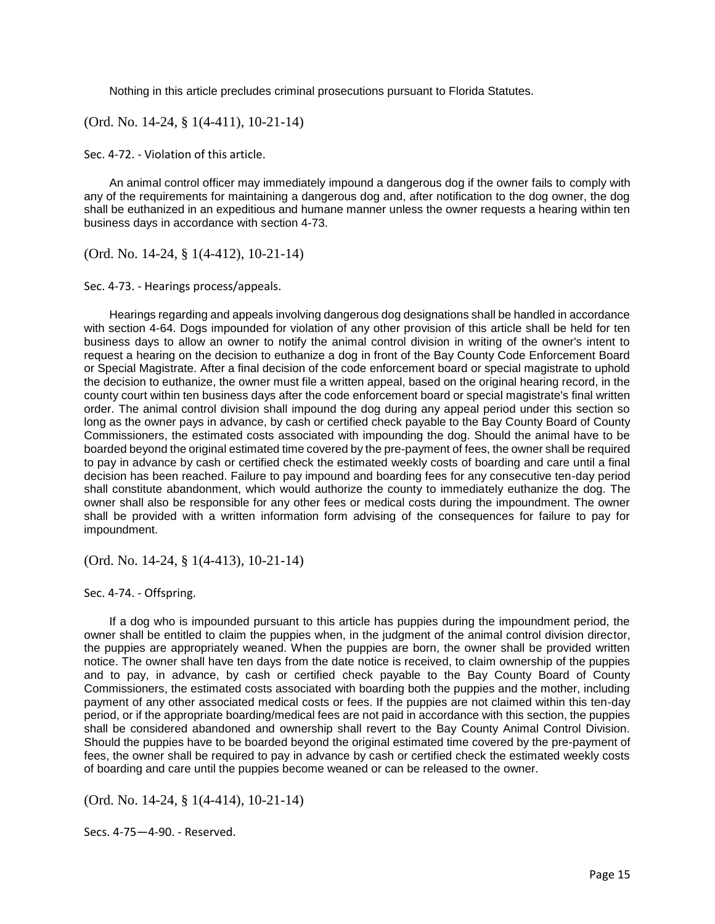Nothing in this article precludes criminal prosecutions pursuant to Florida Statutes.

(Ord. No. 14-24, § 1(4-411), 10-21-14)

Sec. 4-72. - Violation of this article.

An animal control officer may immediately impound a dangerous dog if the owner fails to comply with any of the requirements for maintaining a dangerous dog and, after notification to the dog owner, the dog shall be euthanized in an expeditious and humane manner unless the owner requests a hearing within ten business days in accordance with section 4-73.

(Ord. No. 14-24, § 1(4-412), 10-21-14)

Sec. 4-73. - Hearings process/appeals.

Hearings regarding and appeals involving dangerous dog designations shall be handled in accordance with section 4-64. Dogs impounded for violation of any other provision of this article shall be held for ten business days to allow an owner to notify the animal control division in writing of the owner's intent to request a hearing on the decision to euthanize a dog in front of the Bay County Code Enforcement Board or Special Magistrate. After a final decision of the code enforcement board or special magistrate to uphold the decision to euthanize, the owner must file a written appeal, based on the original hearing record, in the county court within ten business days after the code enforcement board or special magistrate's final written order. The animal control division shall impound the dog during any appeal period under this section so long as the owner pays in advance, by cash or certified check payable to the Bay County Board of County Commissioners, the estimated costs associated with impounding the dog. Should the animal have to be boarded beyond the original estimated time covered by the pre-payment of fees, the owner shall be required to pay in advance by cash or certified check the estimated weekly costs of boarding and care until a final decision has been reached. Failure to pay impound and boarding fees for any consecutive ten-day period shall constitute abandonment, which would authorize the county to immediately euthanize the dog. The owner shall also be responsible for any other fees or medical costs during the impoundment. The owner shall be provided with a written information form advising of the consequences for failure to pay for impoundment.

(Ord. No. 14-24, § 1(4-413), 10-21-14)

Sec. 4-74. - Offspring.

If a dog who is impounded pursuant to this article has puppies during the impoundment period, the owner shall be entitled to claim the puppies when, in the judgment of the animal control division director, the puppies are appropriately weaned. When the puppies are born, the owner shall be provided written notice. The owner shall have ten days from the date notice is received, to claim ownership of the puppies and to pay, in advance, by cash or certified check payable to the Bay County Board of County Commissioners, the estimated costs associated with boarding both the puppies and the mother, including payment of any other associated medical costs or fees. If the puppies are not claimed within this ten-day period, or if the appropriate boarding/medical fees are not paid in accordance with this section, the puppies shall be considered abandoned and ownership shall revert to the Bay County Animal Control Division. Should the puppies have to be boarded beyond the original estimated time covered by the pre-payment of fees, the owner shall be required to pay in advance by cash or certified check the estimated weekly costs of boarding and care until the puppies become weaned or can be released to the owner.

(Ord. No. 14-24, § 1(4-414), 10-21-14)

Secs. 4-75—4-90. - Reserved.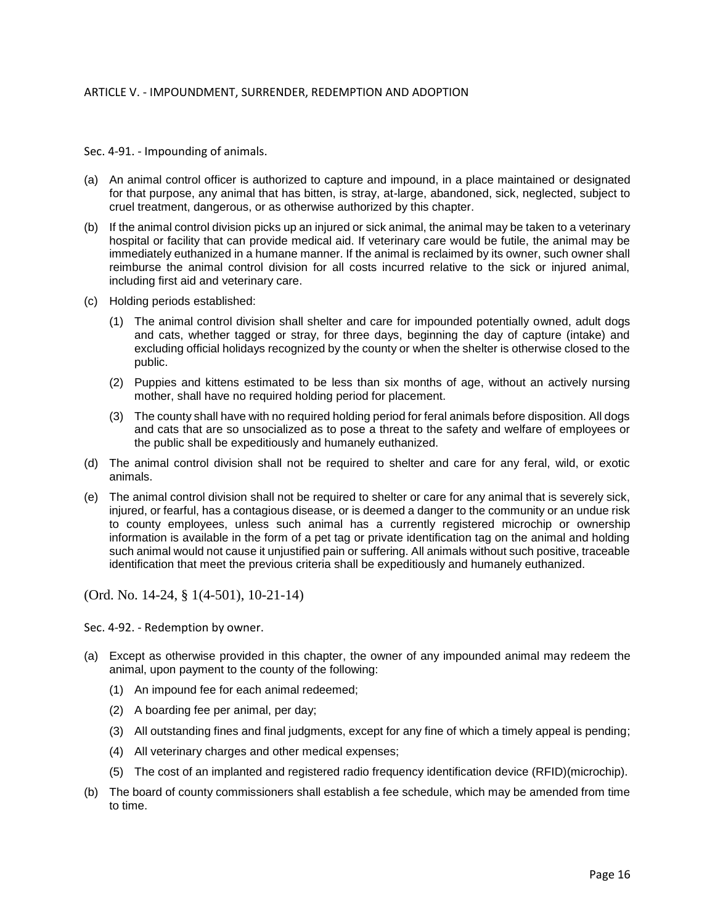Sec. 4-91. - Impounding of animals.

- (a) An animal control officer is authorized to capture and impound, in a place maintained or designated for that purpose, any animal that has bitten, is stray, at-large, abandoned, sick, neglected, subject to cruel treatment, dangerous, or as otherwise authorized by this chapter.
- (b) If the animal control division picks up an injured or sick animal, the animal may be taken to a veterinary hospital or facility that can provide medical aid. If veterinary care would be futile, the animal may be immediately euthanized in a humane manner. If the animal is reclaimed by its owner, such owner shall reimburse the animal control division for all costs incurred relative to the sick or injured animal, including first aid and veterinary care.
- (c) Holding periods established:
	- (1) The animal control division shall shelter and care for impounded potentially owned, adult dogs and cats, whether tagged or stray, for three days, beginning the day of capture (intake) and excluding official holidays recognized by the county or when the shelter is otherwise closed to the public.
	- (2) Puppies and kittens estimated to be less than six months of age, without an actively nursing mother, shall have no required holding period for placement.
	- (3) The county shall have with no required holding period for feral animals before disposition. All dogs and cats that are so unsocialized as to pose a threat to the safety and welfare of employees or the public shall be expeditiously and humanely euthanized.
- (d) The animal control division shall not be required to shelter and care for any feral, wild, or exotic animals.
- (e) The animal control division shall not be required to shelter or care for any animal that is severely sick, injured, or fearful, has a contagious disease, or is deemed a danger to the community or an undue risk to county employees, unless such animal has a currently registered microchip or ownership information is available in the form of a pet tag or private identification tag on the animal and holding such animal would not cause it unjustified pain or suffering. All animals without such positive, traceable identification that meet the previous criteria shall be expeditiously and humanely euthanized.

(Ord. No. 14-24, § 1(4-501), 10-21-14)

Sec. 4-92. - Redemption by owner.

- (a) Except as otherwise provided in this chapter, the owner of any impounded animal may redeem the animal, upon payment to the county of the following:
	- (1) An impound fee for each animal redeemed;
	- (2) A boarding fee per animal, per day;
	- (3) All outstanding fines and final judgments, except for any fine of which a timely appeal is pending;
	- (4) All veterinary charges and other medical expenses;
	- (5) The cost of an implanted and registered radio frequency identification device (RFID)(microchip).
- (b) The board of county commissioners shall establish a fee schedule, which may be amended from time to time.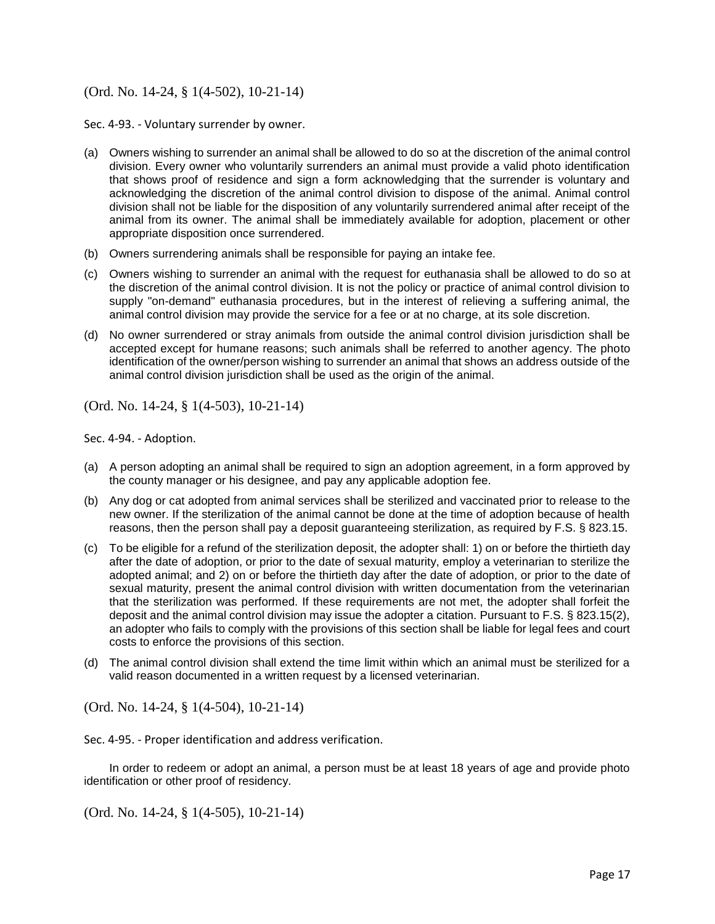## (Ord. No. 14-24, § 1(4-502), 10-21-14)

Sec. 4-93. - Voluntary surrender by owner.

- (a) Owners wishing to surrender an animal shall be allowed to do so at the discretion of the animal control division. Every owner who voluntarily surrenders an animal must provide a valid photo identification that shows proof of residence and sign a form acknowledging that the surrender is voluntary and acknowledging the discretion of the animal control division to dispose of the animal. Animal control division shall not be liable for the disposition of any voluntarily surrendered animal after receipt of the animal from its owner. The animal shall be immediately available for adoption, placement or other appropriate disposition once surrendered.
- (b) Owners surrendering animals shall be responsible for paying an intake fee.
- (c) Owners wishing to surrender an animal with the request for euthanasia shall be allowed to do so at the discretion of the animal control division. It is not the policy or practice of animal control division to supply "on-demand" euthanasia procedures, but in the interest of relieving a suffering animal, the animal control division may provide the service for a fee or at no charge, at its sole discretion.
- (d) No owner surrendered or stray animals from outside the animal control division jurisdiction shall be accepted except for humane reasons; such animals shall be referred to another agency. The photo identification of the owner/person wishing to surrender an animal that shows an address outside of the animal control division jurisdiction shall be used as the origin of the animal.

(Ord. No. 14-24, § 1(4-503), 10-21-14)

Sec. 4-94. - Adoption.

- (a) A person adopting an animal shall be required to sign an adoption agreement, in a form approved by the county manager or his designee, and pay any applicable adoption fee.
- (b) Any dog or cat adopted from animal services shall be sterilized and vaccinated prior to release to the new owner. If the sterilization of the animal cannot be done at the time of adoption because of health reasons, then the person shall pay a deposit guaranteeing sterilization, as required by F.S. § 823.15.
- (c) To be eligible for a refund of the sterilization deposit, the adopter shall: 1) on or before the thirtieth day after the date of adoption, or prior to the date of sexual maturity, employ a veterinarian to sterilize the adopted animal; and 2) on or before the thirtieth day after the date of adoption, or prior to the date of sexual maturity, present the animal control division with written documentation from the veterinarian that the sterilization was performed. If these requirements are not met, the adopter shall forfeit the deposit and the animal control division may issue the adopter a citation. Pursuant to F.S. § 823.15(2), an adopter who fails to comply with the provisions of this section shall be liable for legal fees and court costs to enforce the provisions of this section.
- (d) The animal control division shall extend the time limit within which an animal must be sterilized for a valid reason documented in a written request by a licensed veterinarian.

(Ord. No. 14-24, § 1(4-504), 10-21-14)

Sec. 4-95. - Proper identification and address verification.

In order to redeem or adopt an animal, a person must be at least 18 years of age and provide photo identification or other proof of residency.

(Ord. No. 14-24, § 1(4-505), 10-21-14)